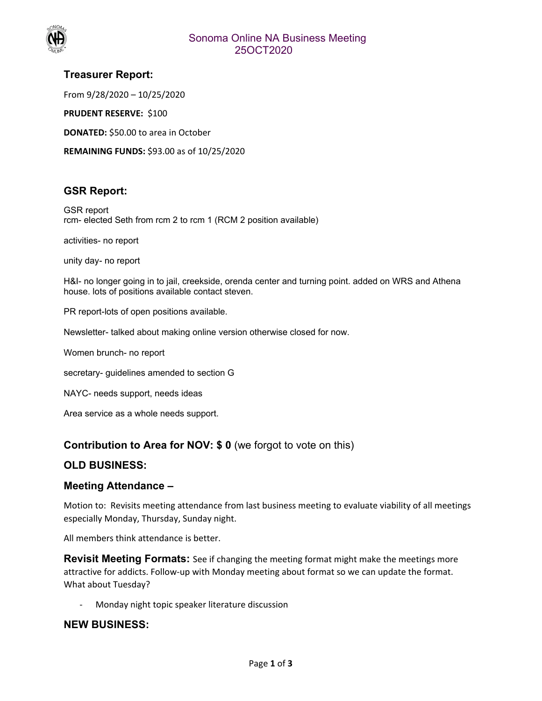

# **Treasurer Report:**

From 9/28/2020 – 10/25/2020

**PRUDENT RESERVE: \$100** 

**DONATED:** \$50.00 to area in October

**REMAINING FUNDS:** \$93.00 as of 10/25/2020

## **GSR Report:**

GSR report rcm- elected Seth from rcm 2 to rcm 1 (RCM 2 position available)

activities- no report

unity day- no report

H&I- no longer going in to jail, creekside, orenda center and turning point. added on WRS and Athena house. lots of positions available contact steven.

PR report-lots of open positions available.

Newsletter- talked about making online version otherwise closed for now.

Women brunch- no report

secretary- guidelines amended to section G

NAYC- needs support, needs ideas

Area service as a whole needs support.

## **Contribution to Area for NOV: \$ 0** (we forgot to vote on this)

## **OLD BUSINESS:**

## **Meeting Attendance –**

Motion to: Revisits meeting attendance from last business meeting to evaluate viability of all meetings especially Monday, Thursday, Sunday night.

All members think attendance is better.

**Revisit Meeting Formats:** See if changing the meeting format might make the meetings more attractive for addicts. Follow‐up with Monday meeting about format so we can update the format. What about Tuesday?

‐ Monday night topic speaker literature discussion

#### **NEW BUSINESS:**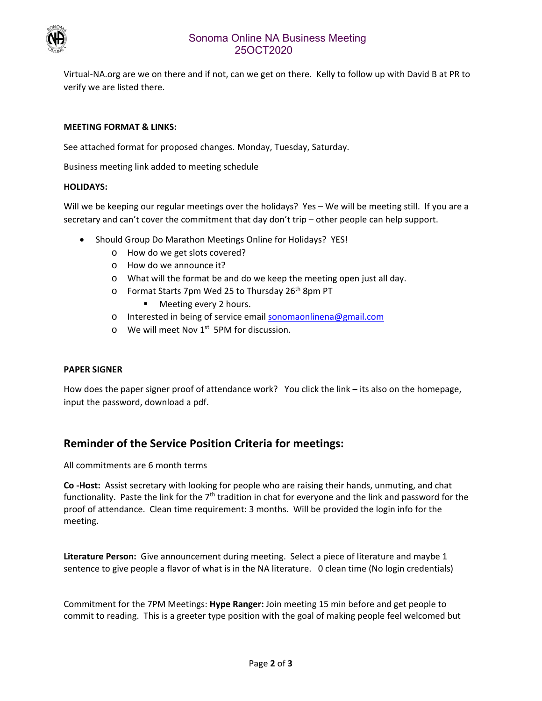

## Sonoma Online NA Business Meeting 25OCT2020

Virtual‐NA.org are we on there and if not, can we get on there. Kelly to follow up with David B at PR to verify we are listed there.

#### **MEETING FORMAT & LINKS:**

See attached format for proposed changes. Monday, Tuesday, Saturday.

Business meeting link added to meeting schedule

#### **HOLIDAYS:**

Will we be keeping our regular meetings over the holidays? Yes - We will be meeting still. If you are a secretary and can't cover the commitment that day don't trip – other people can help support.

- Should Group Do Marathon Meetings Online for Holidays? YES!
	- o How do we get slots covered?
	- o How do we announce it?
	- o What will the format be and do we keep the meeting open just all day.
	- o Format Starts 7pm Wed 25 to Thursday 26<sup>th</sup> 8pm PT
		- **Meeting every 2 hours.**
	- o Interested in being of service email sonomaonlinena@gmail.com
	- $\circ$  We will meet Nov 1<sup>st</sup> 5PM for discussion.

#### **PAPER SIGNER**

How does the paper signer proof of attendance work? You click the link – its also on the homepage, input the password, download a pdf.

# **Reminder of the Service Position Criteria for meetings:**

All commitments are 6 month terms

**Co ‐Host:** Assist secretary with looking for people who are raising their hands, unmuting, and chat functionality. Paste the link for the  $7<sup>th</sup>$  tradition in chat for everyone and the link and password for the proof of attendance. Clean time requirement: 3 months. Will be provided the login info for the meeting.

**Literature Person:** Give announcement during meeting. Select a piece of literature and maybe 1 sentence to give people a flavor of what is in the NA literature. 0 clean time (No login credentials)

Commitment for the 7PM Meetings: **Hype Ranger:** Join meeting 15 min before and get people to commit to reading. This is a greeter type position with the goal of making people feel welcomed but